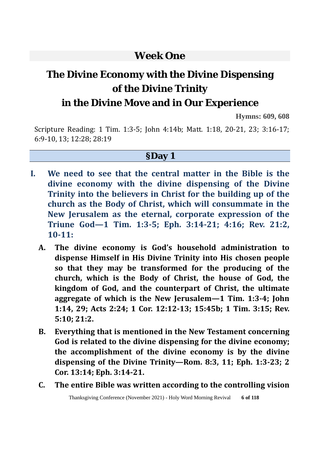# **Week One**

# **The Divine Economy with the Divine Dispensing of the Divine Trinity**

# **in the Divine Move and in Our Experience**

**Hymns: 609, 608**

Scripture Reading: 1 Tim. 1:3-5; John 4:14b; Matt. 1:18, 20-21, 23; 3:16-17; 6:9-10, 13; 12:28; 28:19

#### **§Day 1**

- **I. We need to see that the central matter in the Bible is the divine economy with the divine dispensing of the Divine Trinity into the believers in Christ for the building up of the church as the Body of Christ, which will consummate in the New Jerusalem as the eternal, corporate expression of the Triune God—1 Tim. 1:3-5; Eph. 3:14-21; 4:16; Rev. 21:2, 10-11:** 
	- **A. The divine economy is God's household administration to dispense Himself in His Divine Trinity into His chosen people so that they may be transformed for the producing of the church, which is the Body of Christ, the house of God, the kingdom of God, and the counterpart of Christ, the ultimate aggregate of which is the New Jerusalem—1 Tim. 1:3-4; John 1:14, 29; Acts 2:24; 1 Cor. 12:12-13; 15:45b; 1 Tim. 3:15; Rev. 5:10; 21:2.**
	- **B. Everything that is mentioned in the New Testament concerning God is related to the divine dispensing for the divine economy; the accomplishment of the divine economy is by the divine dispensing of the Divine Trinity—Rom. 8:3, 11; Eph. 1:3-23; 2 Cor. 13:14; Eph. 3:14-21.**
	- **C. The entire Bible was written according to the controlling vision**

Thanksgiving Conference (November 2021) - Holy Word Morning Revival **6 of 118**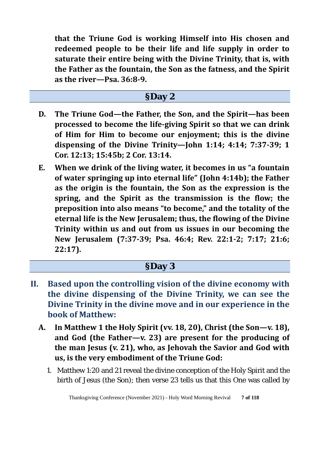**that the Triune God is working Himself into His chosen and redeemed people to be their life and life supply in order to saturate their entire being with the Divine Trinity, that is, with the Father as the fountain, the Son as the fatness, and the Spirit as the river—Psa. 36:8-9.** 

### **§Day 2**

- **D. The Triune God—the Father, the Son, and the Spirit—has been processed to become the life-giving Spirit so that we can drink of Him for Him to become our enjoyment; this is the divine dispensing of the Divine Trinity—John 1:14; 4:14; 7:37-39; 1 Cor. 12:13; 15:45b; 2 Cor. 13:14.**
- **E. When we drink of the living water, it becomes in us "a fountain of water springing up into eternal life" (John 4:14b); the Father as the origin is the fountain, the Son as the expression is the spring, and the Spirit as the transmission is the flow; the preposition into also means "to become," and the totality of the eternal life is the New Jerusalem; thus, the flowing of the Divine Trinity within us and out from us issues in our becoming the New Jerusalem (7:37-39; Psa. 46:4; Rev. 22:1-2; 7:17; 21:6; 22:17).**

### **§Day 3**

- **II. Based upon the controlling vision of the divine economy with the divine dispensing of the Divine Trinity, we can see the Divine Trinity in the divine move and in our experience in the book of Matthew:**
	- **A. In Matthew 1 the Holy Spirit (vv. 18, 20), Christ (the Son—v. 18), and God (the Father—v. 23) are present for the producing of the man Jesus (v. 21), who, as Jehovah the Savior and God with us, is the very embodiment of the Triune God:**
		- 1. Matthew 1:20 and 21 reveal the divine conception of the Holy Spirit and the birth of Jesus (the Son); then verse 23 tells us that this One was called by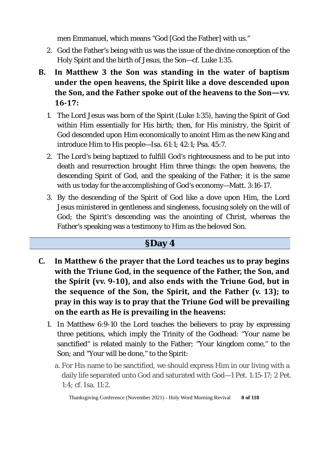men Emmanuel, which means "God [God the Father] with us."

- 2. God the Father's being with us was the issue of the divine conception of the Holy Spirit and the birth of Jesus, the Son—cf. Luke 1:35.
- **B. In Matthew 3 the Son was standing in the water of baptism under the open heavens, the Spirit like a dove descended upon the Son, and the Father spoke out of the heavens to the Son—vv. 16-17:** 
	- 1. The Lord Jesus was born of the Spirit (Luke 1:35), having the Spirit of God within Him essentially for His birth; then, for His ministry, the Spirit of God descended upon Him economically to anoint Him as the new King and introduce Him to His people—Isa. 61:1; 42:1; Psa. 45:7.
	- 2. The Lord's being baptized to fulfill God's righteousness and to be put into death and resurrection brought Him three things: the open heavens, the descending Spirit of God, and the speaking of the Father; it is the same with us today for the accomplishing of God's economy—Matt. 3:16-17.
	- 3. By the descending of the Spirit of God like a dove upon Him, the Lord Jesus ministered in gentleness and singleness, focusing solely on the will of God; the Spirit's descending was the anointing of Christ, whereas the Father's speaking was a testimony to Him as the beloved Son.

### **§Day 4**

- **C. In Matthew 6 the prayer that the Lord teaches us to pray begins with the Triune God, in the sequence of the Father, the Son, and the Spirit (vv. 9-10), and also ends with the Triune God, but in the sequence of the Son, the Spirit, and the Father (v. 13); to pray in this way is to pray that the Triune God will be prevailing on the earth as He is prevailing in the heavens:**
	- 1. In Matthew 6:9-10 the Lord teaches the believers to pray by expressing three petitions, which imply the Trinity of the Godhead: "Your name be sanctified" is related mainly to the Father; "Your kingdom come," to the Son; and "Your will be done," to the Spirit:
		- a. For His name to be sanctified, we should express Him in our living with a daily life separated unto God and saturated with God—1 Pet. 1:15-17; 2 Pet. 1:4; cf. Isa. 11:2.

Thanksgiving Conference (November 2021) - Holy Word Morning Revival **8 of 118**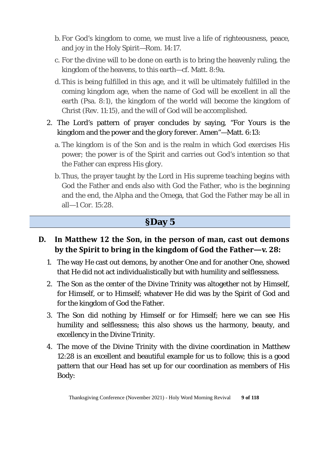- b. For God's kingdom to come, we must live a life of righteousness, peace, and joy in the Holy Spirit—Rom. 14:17.
- c. For the divine will to be done on earth is to bring the heavenly ruling, the kingdom of the heavens, to this earth—cf. Matt. 8:9a.
- d. This is being fulfilled in this age, and it will be ultimately fulfilled in the coming kingdom age, when the name of God will be excellent in all the earth (Psa. 8:1), the kingdom of the world will become the kingdom of Christ (Rev. 11:15), and the will of God will be accomplished.
- 2. The Lord's pattern of prayer concludes by saying, "For Yours is the kingdom and the power and the glory forever. Amen"—Matt. 6:13:
	- a. The kingdom is of the Son and is the realm in which God exercises His power; the power is of the Spirit and carries out God's intention so that the Father can express His glory.
	- b. Thus, the prayer taught by the Lord in His supreme teaching begins with God the Father and ends also with God the Father, who is the beginning and the end, the Alpha and the Omega, that God the Father may be all in all—1 Cor. 15:28.

#### **§Day 5**

- **D. In Matthew 12 the Son, in the person of man, cast out demons by the Spirit to bring in the kingdom of God the Father—v. 28:** 
	- 1. The way He cast out demons, by another One and for another One, showed that He did not act individualistically but with humility and selflessness.
	- 2. The Son as the center of the Divine Trinity was altogether not by Himself, for Himself, or to Himself; whatever He did was by the Spirit of God and for the kingdom of God the Father.
	- 3. The Son did nothing by Himself or for Himself; here we can see His humility and selflessness; this also shows us the harmony, beauty, and excellency in the Divine Trinity.
	- 4. The move of the Divine Trinity with the divine coordination in Matthew 12:28 is an excellent and beautiful example for us to follow; this is a good pattern that our Head has set up for our coordination as members of His Body: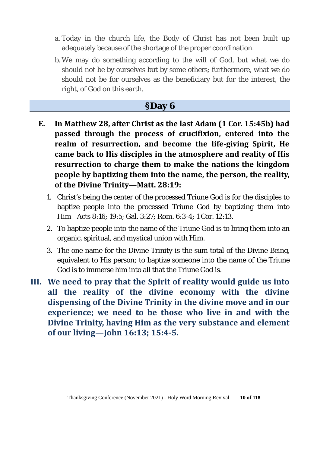- a. Today in the church life, the Body of Christ has not been built up adequately because of the shortage of the proper coordination.
- b. We may do something according to the will of God, but what we do should not be by ourselves but by some others; furthermore, what we do should not be for ourselves as the beneficiary but for the interest, the right, of God on this earth.

### **§Day 6**

- **E. In Matthew 28, after Christ as the last Adam (1 Cor. 15:45b) had passed through the process of crucifixion, entered into the realm of resurrection, and become the life-giving Spirit, He came back to His disciples in the atmosphere and reality of His resurrection to charge them to make the nations the kingdom people by baptizing them into the name, the person, the reality, of the Divine Trinity—Matt. 28:19:** 
	- 1. Christ's being the center of the processed Triune God is for the disciples to baptize people into the processed Triune God by baptizing them into Him—Acts 8:16; 19:5; Gal. 3:27; Rom. 6:3-4; 1 Cor. 12:13.
	- 2. To baptize people into the name of the Triune God is to bring them into an organic, spiritual, and mystical union with Him.
	- 3. The one name for the Divine Trinity is the sum total of the Divine Being, equivalent to His person; to baptize someone into the name of the Triune God is to immerse him into all that the Triune God is.
- **III. We need to pray that the Spirit of reality would guide us into all the reality of the divine economy with the divine dispensing of the Divine Trinity in the divine move and in our experience; we need to be those who live in and with the Divine Trinity, having Him as the very substance and element of our living—John 16:13; 15:4-5.**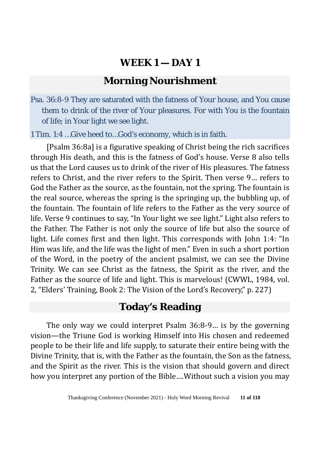### **Morning Nourishment**

Psa. 36:8-9 They are saturated with the fatness of Your house, and You cause them to drink of the river of Your pleasures. For with You is the fountain of life; in Your light we see light.

1 Tim. 1:4 …Give heed to…God's economy, which is in faith.

[Psalm 36:8a] is a figurative speaking of Christ being the rich sacrifices through His death, and this is the fatness of God's house. Verse 8 also tells us that the Lord causes us to drink of the river of His pleasures. The fatness refers to Christ, and the river refers to the Spirit. Then verse 9… refers to God the Father as the source, as the fountain, not the spring. The fountain is the real source, whereas the spring is the springing up, the bubbling up, of the fountain. The fountain of life refers to the Father as the very source of life. Verse 9 continues to say, "In Your light we see light." Light also refers to the Father. The Father is not only the source of life but also the source of light. Life comes first and then light. This corresponds with John 1:4: "In Him was life, and the life was the light of men." Even in such a short portion of the Word, in the poetry of the ancient psalmist, we can see the Divine Trinity. We can see Christ as the fatness, the Spirit as the river, and the Father as the source of life and light. This is marvelous! (CWWL, 1984, vol. 2, "Elders' Training, Book 2: The Vision of the Lord's Recovery," p. 227)

### **Today's Reading**

The only way we could interpret Psalm 36:8-9… is by the governing vision—the Triune God is working Himself into His chosen and redeemed people to be their life and life supply, to saturate their entire being with the Divine Trinity, that is, with the Father as the fountain, the Son as the fatness, and the Spirit as the river. This is the vision that should govern and direct how you interpret any portion of the Bible….Without such a vision you may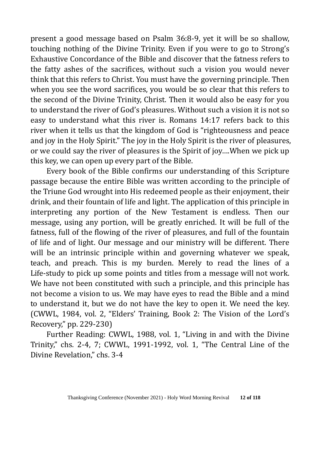present a good message based on Psalm 36:8-9, yet it will be so shallow, touching nothing of the Divine Trinity. Even if you were to go to Strong's Exhaustive Concordance of the Bible and discover that the fatness refers to the fatty ashes of the sacrifices, without such a vision you would never think that this refers to Christ. You must have the governing principle. Then when you see the word sacrifices, you would be so clear that this refers to the second of the Divine Trinity, Christ. Then it would also be easy for you to understand the river of God's pleasures. Without such a vision it is not so easy to understand what this river is. Romans 14:17 refers back to this river when it tells us that the kingdom of God is "righteousness and peace and joy in the Holy Spirit." The joy in the Holy Spirit is the river of pleasures, or we could say the river of pleasures is the Spirit of joy….When we pick up this key, we can open up every part of the Bible.

Every book of the Bible confirms our understanding of this Scripture passage because the entire Bible was written according to the principle of the Triune God wrought into His redeemed people as their enjoyment, their drink, and their fountain of life and light. The application of this principle in interpreting any portion of the New Testament is endless. Then our message, using any portion, will be greatly enriched. It will be full of the fatness, full of the flowing of the river of pleasures, and full of the fountain of life and of light. Our message and our ministry will be different. There will be an intrinsic principle within and governing whatever we speak, teach, and preach. This is my burden. Merely to read the lines of a Life-study to pick up some points and titles from a message will not work. We have not been constituted with such a principle, and this principle has not become a vision to us. We may have eyes to read the Bible and a mind to understand it, but we do not have the key to open it. We need the key. (CWWL, 1984, vol. 2, "Elders' Training, Book 2: The Vision of the Lord's Recovery," pp. 229-230)

Further Reading: CWWL, 1988, vol. 1, "Living in and with the Divine Trinity," chs. 2-4, 7; CWWL, 1991-1992, vol. 1, "The Central Line of the Divine Revelation," chs. 3-4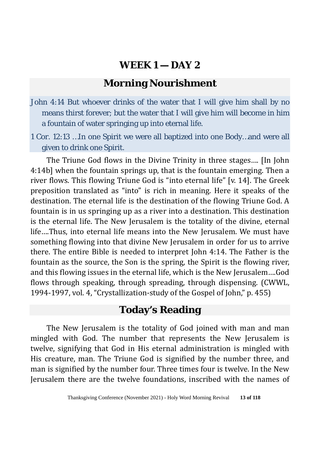# **Morning Nourishment**

- John 4:14 But whoever drinks of the water that I will give him shall by no means thirst forever; but the water that I will give him will become in him a fountain of water springing up into eternal life.
- 1 Cor. 12:13 …In one Spirit we were all baptized into one Body…and were all given to drink one Spirit.

The Triune God flows in the Divine Trinity in three stages…. [In John 4:14b] when the fountain springs up, that is the fountain emerging. Then a river flows. This flowing Triune God is "into eternal life" [v. 14]. The Greek preposition translated as "into" is rich in meaning. Here it speaks of the destination. The eternal life is the destination of the flowing Triune God. A fountain is in us springing up as a river into a destination. This destination is the eternal life. The New Jerusalem is the totality of the divine, eternal life….Thus, into eternal life means into the New Jerusalem. We must have something flowing into that divine New Jerusalem in order for us to arrive there. The entire Bible is needed to interpret John 4:14. The Father is the fountain as the source, the Son is the spring, the Spirit is the flowing river, and this flowing issues in the eternal life, which is the New Jerusalem….God flows through speaking, through spreading, through dispensing. (CWWL, 1994-1997, vol. 4, "Crystallization-study of the Gospel of John," p. 455)

### **Today's Reading**

The New Jerusalem is the totality of God joined with man and man mingled with God. The number that represents the New Jerusalem is twelve, signifying that God in His eternal administration is mingled with His creature, man. The Triune God is signified by the number three, and man is signified by the number four. Three times four is twelve. In the New Jerusalem there are the twelve foundations, inscribed with the names of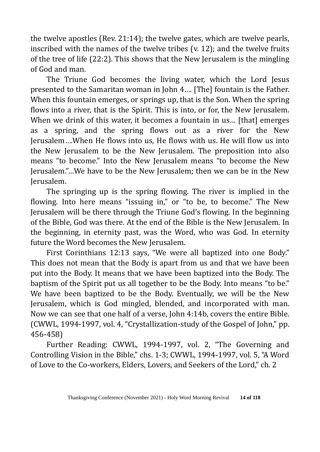the twelve apostles (Rev. 21:14); the twelve gates, which are twelve pearls, inscribed with the names of the twelve tribes (v. 12); and the twelve fruits of the tree of life (22:2). This shows that the New Jerusalem is the mingling of God and man.

The Triune God becomes the living water, which the Lord Jesus presented to the Samaritan woman in John 4…. [The] fountain is the Father. When this fountain emerges, or springs up, that is the Son. When the spring flows into a river, that is the Spirit. This is into, or for, the New Jerusalem. When we drink of this water, it becomes a fountain in us... [that] emerges as a spring, and the spring flows out as a river for the New Jerusalem….When He flows into us, He flows with us. He will flow us into the New Jerusalem to be the New Jerusalem. The preposition into also means "to become." Into the New Jerusalem means "to become the New Jerusalem."…We have to be the New Jerusalem; then we can be in the New Jerusalem.

The springing up is the spring flowing. The river is implied in the flowing. Into here means "issuing in," or "to be, to become." The New Jerusalem will be there through the Triune God's flowing. In the beginning of the Bible, God was there. At the end of the Bible is the New Jerusalem. In the beginning, in eternity past, was the Word, who was God. In eternity future the Word becomes the New Jerusalem.

First Corinthians 12:13 says, "We were all baptized into one Body." This does not mean that the Body is apart from us and that we have been put into the Body. It means that we have been baptized into the Body. The baptism of the Spirit put us all together to be the Body. Into means "to be." We have been baptized to be the Body. Eventually, we will be the New Jerusalem, which is God mingled, blended, and incorporated with man. Now we can see that one half of a verse, John 4:14b, covers the entire Bible. (CWWL, 1994-1997, vol. 4, "Crystallization-study of the Gospel of John," pp. 456-458)

Further Reading: CWWL, 1994-1997, vol. 2, "The Governing and Controlling Vision in the Bible," chs. 1-3; CWWL, 1994-1997, vol. 5, "A Word of Love to the Co-workers, Elders, Lovers, and Seekers of the Lord," ch. 2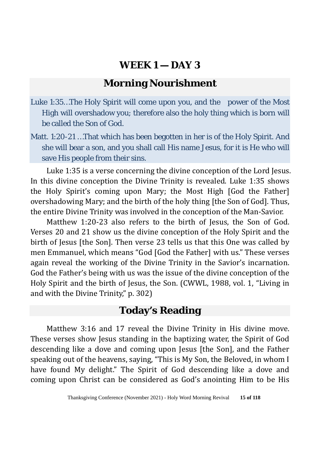# **Morning Nourishment**

- Luke 1:35…The Holy Spirit will come upon you, and the power of the Most High will overshadow you; therefore also the holy thing which is born will be called the Son of God.
- Matt. 1:20-21 …That which has been begotten in her is of the Holy Spirit. And she will bear a son, and you shall call His name Jesus, for it is He who will save His people from their sins.

Luke 1:35 is a verse concerning the divine conception of the Lord Jesus. In this divine conception the Divine Trinity is revealed. Luke 1:35 shows the Holy Spirit's coming upon Mary; the Most High [God the Father] overshadowing Mary; and the birth of the holy thing [the Son of God]. Thus, the entire Divine Trinity was involved in the conception of the Man-Savior.

Matthew 1:20-23 also refers to the birth of Jesus, the Son of God. Verses 20 and 21 show us the divine conception of the Holy Spirit and the birth of Jesus [the Son]. Then verse 23 tells us that this One was called by men Emmanuel, which means "God [God the Father] with us." These verses again reveal the working of the Divine Trinity in the Savior's incarnation. God the Father's being with us was the issue of the divine conception of the Holy Spirit and the birth of Jesus, the Son. (CWWL, 1988, vol. 1, "Living in and with the Divine Trinity," p. 302)

# **Today's Reading**

Matthew 3:16 and 17 reveal the Divine Trinity in His divine move. These verses show Jesus standing in the baptizing water, the Spirit of God descending like a dove and coming upon Jesus [the Son], and the Father speaking out of the heavens, saying, "This is My Son, the Beloved, in whom I have found My delight." The Spirit of God descending like a dove and coming upon Christ can be considered as God's anointing Him to be His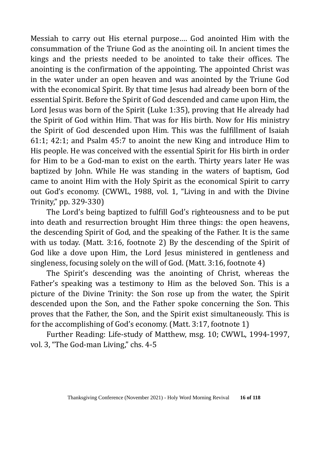Messiah to carry out His eternal purpose…. God anointed Him with the consummation of the Triune God as the anointing oil. In ancient times the kings and the priests needed to be anointed to take their offices. The anointing is the confirmation of the appointing. The appointed Christ was in the water under an open heaven and was anointed by the Triune God with the economical Spirit. By that time Jesus had already been born of the essential Spirit. Before the Spirit of God descended and came upon Him, the Lord Jesus was born of the Spirit (Luke 1:35), proving that He already had the Spirit of God within Him. That was for His birth. Now for His ministry the Spirit of God descended upon Him. This was the fulfillment of Isaiah 61:1; 42:1; and Psalm 45:7 to anoint the new King and introduce Him to His people. He was conceived with the essential Spirit for His birth in order for Him to be a God-man to exist on the earth. Thirty years later He was baptized by John. While He was standing in the waters of baptism, God came to anoint Him with the Holy Spirit as the economical Spirit to carry out God's economy. (CWWL, 1988, vol. 1, "Living in and with the Divine Trinity," pp. 329-330)

The Lord's being baptized to fulfill God's righteousness and to be put into death and resurrection brought Him three things: the open heavens, the descending Spirit of God, and the speaking of the Father. It is the same with us today. (Matt. 3:16, footnote 2) By the descending of the Spirit of God like a dove upon Him, the Lord Jesus ministered in gentleness and singleness, focusing solely on the will of God. (Matt. 3:16, footnote 4)

The Spirit's descending was the anointing of Christ, whereas the Father's speaking was a testimony to Him as the beloved Son. This is a picture of the Divine Trinity: the Son rose up from the water, the Spirit descended upon the Son, and the Father spoke concerning the Son. This proves that the Father, the Son, and the Spirit exist simultaneously. This is for the accomplishing of God's economy. (Matt. 3:17, footnote 1)

Further Reading: Life-study of Matthew, msg. 10; CWWL, 1994-1997, vol. 3, "The God-man Living," chs. 4-5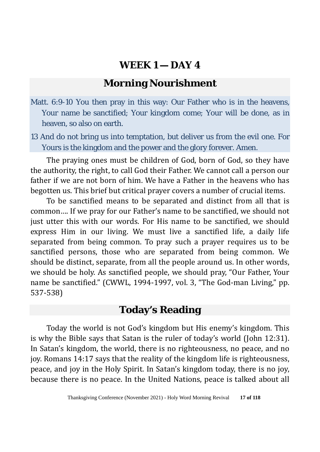# **Morning Nourishment**

- Matt. 6:9-10 You then pray in this way: Our Father who is in the heavens, Your name be sanctified; Your kingdom come; Your will be done, as in heaven, so also on earth.
- 13 And do not bring us into temptation, but deliver us from the evil one. For Yours is the kingdom and the power and the glory forever. Amen.

The praying ones must be children of God, born of God, so they have the authority, the right, to call God their Father. We cannot call a person our father if we are not born of him. We have a Father in the heavens who has begotten us. This brief but critical prayer covers a number of crucial items.

To be sanctified means to be separated and distinct from all that is common…. If we pray for our Father's name to be sanctified, we should not just utter this with our words. For His name to be sanctified, we should express Him in our living. We must live a sanctified life, a daily life separated from being common. To pray such a prayer requires us to be sanctified persons, those who are separated from being common. We should be distinct, separate, from all the people around us. In other words, we should be holy. As sanctified people, we should pray, "Our Father, Your name be sanctified." (CWWL, 1994-1997, vol. 3, "The God-man Living," pp. 537-538)

# **Today's Reading**

Today the world is not God's kingdom but His enemy's kingdom. This is why the Bible says that Satan is the ruler of today's world (John 12:31). In Satan's kingdom, the world, there is no righteousness, no peace, and no joy. Romans 14:17 says that the reality of the kingdom life is righteousness, peace, and joy in the Holy Spirit. In Satan's kingdom today, there is no joy, because there is no peace. In the United Nations, peace is talked about all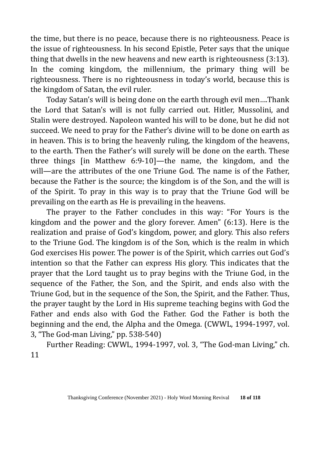the time, but there is no peace, because there is no righteousness. Peace is the issue of righteousness. In his second Epistle, Peter says that the unique thing that dwells in the new heavens and new earth is righteousness (3:13). In the coming kingdom, the millennium, the primary thing will be righteousness. There is no righteousness in today's world, because this is the kingdom of Satan, the evil ruler.

Today Satan's will is being done on the earth through evil men….Thank the Lord that Satan's will is not fully carried out. Hitler, Mussolini, and Stalin were destroyed. Napoleon wanted his will to be done, but he did not succeed. We need to pray for the Father's divine will to be done on earth as in heaven. This is to bring the heavenly ruling, the kingdom of the heavens, to the earth. Then the Father's will surely will be done on the earth. These three things [in Matthew 6:9-10]—the name, the kingdom, and the will—are the attributes of the one Triune God. The name is of the Father, because the Father is the source; the kingdom is of the Son, and the will is of the Spirit. To pray in this way is to pray that the Triune God will be prevailing on the earth as He is prevailing in the heavens.

The prayer to the Father concludes in this way: "For Yours is the kingdom and the power and the glory forever. Amen" (6:13). Here is the realization and praise of God's kingdom, power, and glory. This also refers to the Triune God. The kingdom is of the Son, which is the realm in which God exercises His power. The power is of the Spirit, which carries out God's intention so that the Father can express His glory. This indicates that the prayer that the Lord taught us to pray begins with the Triune God, in the sequence of the Father, the Son, and the Spirit, and ends also with the Triune God, but in the sequence of the Son, the Spirit, and the Father. Thus, the prayer taught by the Lord in His supreme teaching begins with God the Father and ends also with God the Father. God the Father is both the beginning and the end, the Alpha and the Omega. (CWWL, 1994-1997, vol. 3, "The God-man Living," pp. 538-540)

Further Reading: CWWL, 1994-1997, vol. 3, "The God-man Living," ch. 11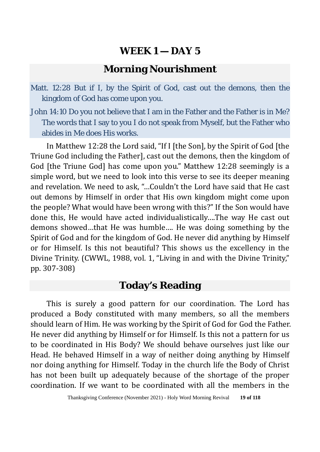### **Morning Nourishment**

Matt. 12:28 But if I, by the Spirit of God, cast out the demons, then the kingdom of God has come upon you.

John 14:10 Do you not believe that I am in the Father and the Father is in Me? The words that I say to you I do not speak from Myself, but the Father who abides in Me does His works.

In Matthew 12:28 the Lord said, "If I [the Son], by the Spirit of God [the Triune God including the Father], cast out the demons, then the kingdom of God [the Triune God] has come upon you." Matthew 12:28 seemingly is a simple word, but we need to look into this verse to see its deeper meaning and revelation. We need to ask, "…Couldn't the Lord have said that He cast out demons by Himself in order that His own kingdom might come upon the people? What would have been wrong with this?" If the Son would have done this, He would have acted individualistically….The way He cast out demons showed…that He was humble…. He was doing something by the Spirit of God and for the kingdom of God. He never did anything by Himself or for Himself. Is this not beautiful? This shows us the excellency in the Divine Trinity. (CWWL, 1988, vol. 1, "Living in and with the Divine Trinity," pp. 307-308)

# **Today's Reading**

This is surely a good pattern for our coordination. The Lord has produced a Body constituted with many members, so all the members should learn of Him. He was working by the Spirit of God for God the Father. He never did anything by Himself or for Himself. Is this not a pattern for us to be coordinated in His Body? We should behave ourselves just like our Head. He behaved Himself in a way of neither doing anything by Himself nor doing anything for Himself. Today in the church life the Body of Christ has not been built up adequately because of the shortage of the proper coordination. If we want to be coordinated with all the members in the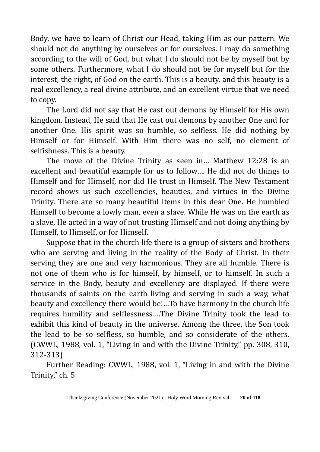Body, we have to learn of Christ our Head, taking Him as our pattern. We should not do anything by ourselves or for ourselves. I may do something according to the will of God, but what I do should not be by myself but by some others. Furthermore, what I do should not be for myself but for the interest, the right, of God on the earth. This is a beauty, and this beauty is a real excellency, a real divine attribute, and an excellent virtue that we need to copy.

The Lord did not say that He cast out demons by Himself for His own kingdom. Instead, He said that He cast out demons by another One and for another One. His spirit was so humble, so selfless. He did nothing by Himself or for Himself. With Him there was no self, no element of selfishness. This is a beauty.

The move of the Divine Trinity as seen in… Matthew 12:28 is an excellent and beautiful example for us to follow…. He did not do things to Himself and for Himself, nor did He trust in Himself. The New Testament record shows us such excellencies, beauties, and virtues in the Divine Trinity. There are so many beautiful items in this dear One. He humbled Himself to become a lowly man, even a slave. While He was on the earth as a slave, He acted in a way of not trusting Himself and not doing anything by Himself, to Himself, or for Himself.

Suppose that in the church life there is a group of sisters and brothers who are serving and living in the reality of the Body of Christ. In their serving they are one and very harmonious. They are all humble. There is not one of them who is for himself, by himself, or to himself. In such a service in the Body, beauty and excellency are displayed. If there were thousands of saints on the earth living and serving in such a way, what beauty and excellency there would be!…To have harmony in the church life requires humility and selflessness….The Divine Trinity took the lead to exhibit this kind of beauty in the universe. Among the three, the Son took the lead to be so selfless, so humble, and so considerate of the others. (CWWL, 1988, vol. 1, "Living in and with the Divine Trinity," pp. 308, 310, 312-313)

Further Reading: CWWL, 1988, vol. 1, "Living in and with the Divine Trinity," ch. 5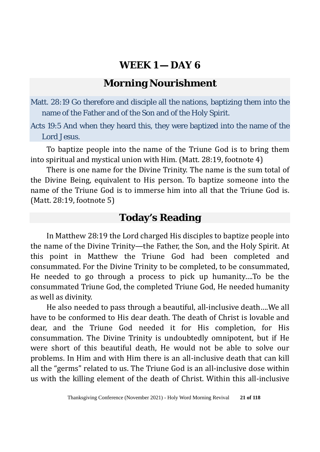# **Morning Nourishment**

Matt. 28:19 Go therefore and disciple all the nations, baptizing them into the name of the Father and of the Son and of the Holy Spirit.

Acts 19:5 And when they heard this, they were baptized into the name of the Lord Jesus.

To baptize people into the name of the Triune God is to bring them into spiritual and mystical union with Him. (Matt. 28:19, footnote 4)

There is one name for the Divine Trinity. The name is the sum total of the Divine Being, equivalent to His person. To baptize someone into the name of the Triune God is to immerse him into all that the Triune God is. (Matt. 28:19, footnote 5)

# **Today's Reading**

In Matthew 28:19 the Lord charged His disciples to baptize people into the name of the Divine Trinity—the Father, the Son, and the Holy Spirit. At this point in Matthew the Triune God had been completed and consummated. For the Divine Trinity to be completed, to be consummated, He needed to go through a process to pick up humanity….To be the consummated Triune God, the completed Triune God, He needed humanity as well as divinity.

He also needed to pass through a beautiful, all-inclusive death….We all have to be conformed to His dear death. The death of Christ is lovable and dear, and the Triune God needed it for His completion, for His consummation. The Divine Trinity is undoubtedly omnipotent, but if He were short of this beautiful death, He would not be able to solve our problems. In Him and with Him there is an all-inclusive death that can kill all the "germs" related to us. The Triune God is an all-inclusive dose within us with the killing element of the death of Christ. Within this all-inclusive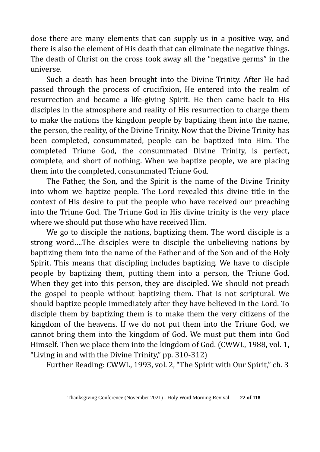dose there are many elements that can supply us in a positive way, and there is also the element of His death that can eliminate the negative things. The death of Christ on the cross took away all the "negative germs" in the universe.

Such a death has been brought into the Divine Trinity. After He had passed through the process of crucifixion, He entered into the realm of resurrection and became a life-giving Spirit. He then came back to His disciples in the atmosphere and reality of His resurrection to charge them to make the nations the kingdom people by baptizing them into the name, the person, the reality, of the Divine Trinity. Now that the Divine Trinity has been completed, consummated, people can be baptized into Him. The completed Triune God, the consummated Divine Trinity, is perfect, complete, and short of nothing. When we baptize people, we are placing them into the completed, consummated Triune God.

The Father, the Son, and the Spirit is the name of the Divine Trinity into whom we baptize people. The Lord revealed this divine title in the context of His desire to put the people who have received our preaching into the Triune God. The Triune God in His divine trinity is the very place where we should put those who have received Him.

We go to disciple the nations, baptizing them. The word disciple is a strong word….The disciples were to disciple the unbelieving nations by baptizing them into the name of the Father and of the Son and of the Holy Spirit. This means that discipling includes baptizing. We have to disciple people by baptizing them, putting them into a person, the Triune God. When they get into this person, they are discipled. We should not preach the gospel to people without baptizing them. That is not scriptural. We should baptize people immediately after they have believed in the Lord. To disciple them by baptizing them is to make them the very citizens of the kingdom of the heavens. If we do not put them into the Triune God, we cannot bring them into the kingdom of God. We must put them into God Himself. Then we place them into the kingdom of God. (CWWL, 1988, vol. 1, "Living in and with the Divine Trinity," pp. 310-312)

Further Reading: CWWL, 1993, vol. 2, "The Spirit with Our Spirit," ch. 3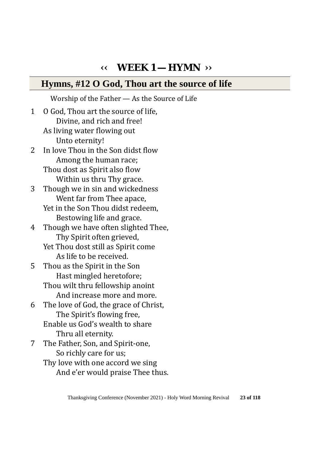# **‹‹ WEEK 1 — HYMN ››**

#### **Hymns, #12 O God, Thou art the source of life**

Worship of the Father — As the Source of Life 1 O God, Thou art the source of life, Divine, and rich and free! As living water flowing out Unto eternity!<br>2 In love Thou in the In love Thou in the Son didst flow Among the human race; Thou dost as Spirit also flow Within us thru Thy grace.<br>3 Though we in sin and wicked Though we in sin and wickedness Went far from Thee apace, Yet in the Son Thou didst redeem, Bestowing life and grace. 4 Though we have often slighted Thee, Thy Spirit often grieved, Yet Thou dost still as Spirit come As life to be received.<br>5 Thou as the Spirit in the ! Thou as the Spirit in the Son Hast mingled heretofore; Thou wilt thru fellowship anoint And increase more and more. 6 The love of God, the grace of Christ, The Spirit's flowing free, Enable us God's wealth to share Thru all eternity.<br>7 The Father. Son. and 7 The Father, Son, and Spirit-one, So richly care for us; Thy love with one accord we sing

And e'er would praise Thee thus.